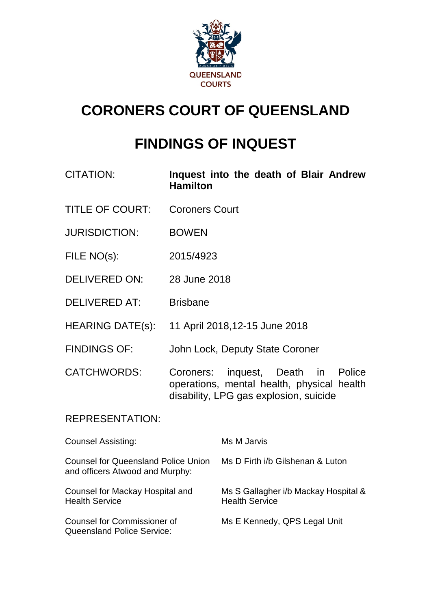

# **CORONERS COURT OF QUEENSLAND**

# **FINDINGS OF INQUEST**

- CITATION: **Inquest into the death of Blair Andrew Hamilton**
- TITLE OF COURT: Coroners Court
- JURISDICTION: BOWEN
- FILE NO(s): 2015/4923
- DELIVERED ON: 28 June 2018
- DELIVERED AT: Brisbane
- HEARING DATE(s): 11 April 2018,12-15 June 2018
- FINDINGS OF: John Lock, Deputy State Coroner
- CATCHWORDS: Coroners: inquest, Death in Police operations, mental health, physical health disability, LPG gas explosion, suicide

## REPRESENTATION:

| <b>Counsel Assisting:</b>                                                     | Ms M Jarvis                                                   |
|-------------------------------------------------------------------------------|---------------------------------------------------------------|
| <b>Counsel for Queensland Police Union</b><br>and officers Atwood and Murphy: | Ms D Firth i/b Gilshenan & Luton                              |
| Counsel for Mackay Hospital and<br><b>Health Service</b>                      | Ms S Gallagher i/b Mackay Hospital &<br><b>Health Service</b> |
| <b>Counsel for Commissioner of</b><br><b>Queensland Police Service:</b>       | Ms E Kennedy, QPS Legal Unit                                  |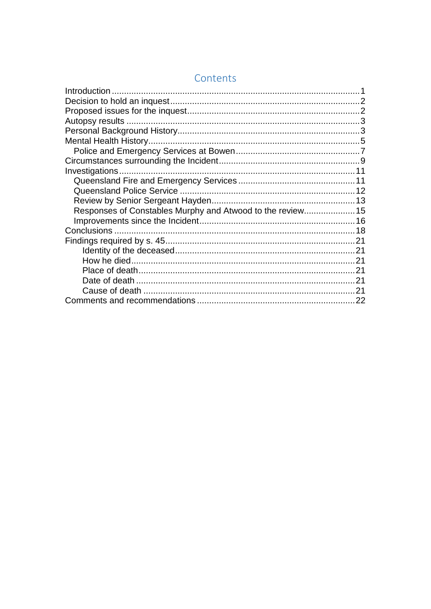| Responses of Constables Murphy and Atwood to the review15 |  |
|-----------------------------------------------------------|--|
|                                                           |  |
|                                                           |  |
|                                                           |  |
|                                                           |  |
|                                                           |  |
|                                                           |  |
|                                                           |  |
|                                                           |  |
|                                                           |  |

## Contents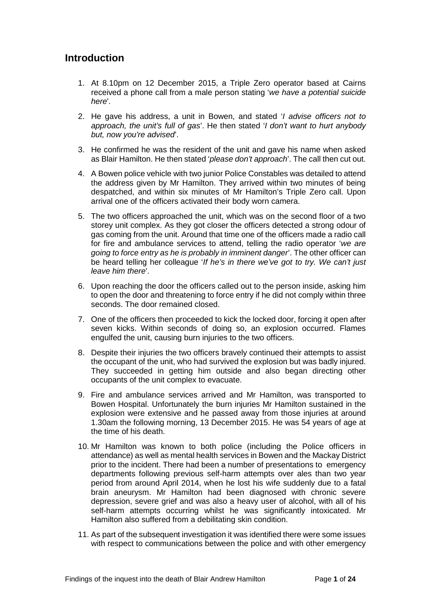## <span id="page-2-0"></span>**Introduction**

- 1. At 8.10pm on 12 December 2015, a Triple Zero operator based at Cairns received a phone call from a male person stating '*we have a potential suicide here*'.
- 2. He gave his address, a unit in Bowen, and stated '*I advise officers not to approach, the unit's full of gas*'. He then stated '*I don't want to hurt anybody but, now you're advised*'.
- 3. He confirmed he was the resident of the unit and gave his name when asked as Blair Hamilton. He then stated '*please don't approach*'. The call then cut out.
- 4. A Bowen police vehicle with two junior Police Constables was detailed to attend the address given by Mr Hamilton. They arrived within two minutes of being despatched, and within six minutes of Mr Hamilton's Triple Zero call. Upon arrival one of the officers activated their body worn camera.
- 5. The two officers approached the unit, which was on the second floor of a two storey unit complex. As they got closer the officers detected a strong odour of gas coming from the unit. Around that time one of the officers made a radio call for fire and ambulance services to attend, telling the radio operator '*we are going to force entry as he is probably in imminent danger*'. The other officer can be heard telling her colleague '*If he's in there we've got to try. We can't just leave him there*'.
- 6. Upon reaching the door the officers called out to the person inside, asking him to open the door and threatening to force entry if he did not comply within three seconds. The door remained closed.
- 7. One of the officers then proceeded to kick the locked door, forcing it open after seven kicks. Within seconds of doing so, an explosion occurred. Flames engulfed the unit, causing burn injuries to the two officers.
- 8. Despite their injuries the two officers bravely continued their attempts to assist the occupant of the unit, who had survived the explosion but was badly injured. They succeeded in getting him outside and also began directing other occupants of the unit complex to evacuate.
- 9. Fire and ambulance services arrived and Mr Hamilton, was transported to Bowen Hospital. Unfortunately the burn injuries Mr Hamilton sustained in the explosion were extensive and he passed away from those injuries at around 1.30am the following morning, 13 December 2015. He was 54 years of age at the time of his death.
- 10. Mr Hamilton was known to both police (including the Police officers in attendance) as well as mental health services in Bowen and the Mackay District prior to the incident. There had been a number of presentations to emergency departments following previous self-harm attempts over ales than two year period from around April 2014, when he lost his wife suddenly due to a fatal brain aneurysm. Mr Hamilton had been diagnosed with chronic severe depression, severe grief and was also a heavy user of alcohol, with all of his self-harm attempts occurring whilst he was significantly intoxicated. Mr Hamilton also suffered from a debilitating skin condition.
- 11. As part of the subsequent investigation it was identified there were some issues with respect to communications between the police and with other emergency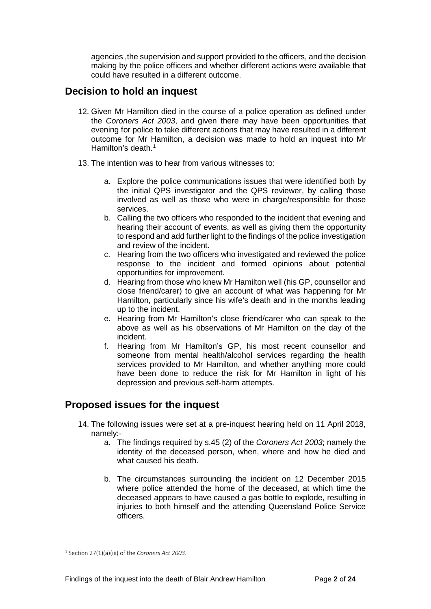agencies ,the supervision and support provided to the officers, and the decision making by the police officers and whether different actions were available that could have resulted in a different outcome.

#### <span id="page-3-0"></span>**Decision to hold an inquest**

- 12. Given Mr Hamilton died in the course of a police operation as defined under the *Coroners Act 2003*, and given there may have been opportunities that evening for police to take different actions that may have resulted in a different outcome for Mr Hamilton, a decision was made to hold an inquest into Mr Hamilton's death  $1$
- 13. The intention was to hear from various witnesses to:
	- a. Explore the police communications issues that were identified both by the initial QPS investigator and the QPS reviewer, by calling those involved as well as those who were in charge/responsible for those services.
	- b. Calling the two officers who responded to the incident that evening and hearing their account of events, as well as giving them the opportunity to respond and add further light to the findings of the police investigation and review of the incident.
	- c. Hearing from the two officers who investigated and reviewed the police response to the incident and formed opinions about potential opportunities for improvement.
	- d. Hearing from those who knew Mr Hamilton well (his GP, counsellor and close friend/carer) to give an account of what was happening for Mr Hamilton, particularly since his wife's death and in the months leading up to the incident.
	- e. Hearing from Mr Hamilton's close friend/carer who can speak to the above as well as his observations of Mr Hamilton on the day of the incident.
	- f. Hearing from Mr Hamilton's GP, his most recent counsellor and someone from mental health/alcohol services regarding the health services provided to Mr Hamilton, and whether anything more could have been done to reduce the risk for Mr Hamilton in light of his depression and previous self-harm attempts.

## <span id="page-3-1"></span>**Proposed issues for the inquest**

- 14. The following issues were set at a pre-inquest hearing held on 11 April 2018, namely:
	- a. The findings required by s.45 (2) of the *Coroners Act 2003*; namely the identity of the deceased person, when, where and how he died and what caused his death.
	- b. The circumstances surrounding the incident on 12 December 2015 where police attended the home of the deceased, at which time the deceased appears to have caused a gas bottle to explode, resulting in injuries to both himself and the attending Queensland Police Service officers.

<span id="page-3-2"></span><sup>1</sup> Section 27(1)(a)(iii) of the *Coroners Act 2003*.  $\overline{a}$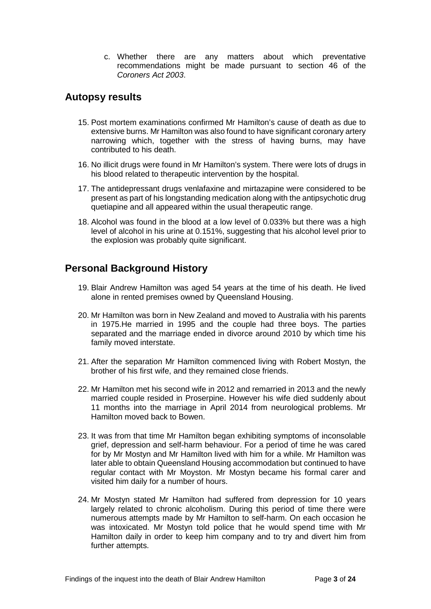c. Whether there are any matters about which preventative recommendations might be made pursuant to section 46 of the *Coroners Act 2003*.

#### <span id="page-4-0"></span>**Autopsy results**

- 15. Post mortem examinations confirmed Mr Hamilton's cause of death as due to extensive burns. Mr Hamilton was also found to have significant coronary artery narrowing which, together with the stress of having burns, may have contributed to his death.
- 16. No illicit drugs were found in Mr Hamilton's system. There were lots of drugs in his blood related to therapeutic intervention by the hospital.
- 17. The antidepressant drugs venlafaxine and mirtazapine were considered to be present as part of his longstanding medication along with the antipsychotic drug quetiapine and all appeared within the usual therapeutic range.
- 18. Alcohol was found in the blood at a low level of 0.033% but there was a high level of alcohol in his urine at 0.151%, suggesting that his alcohol level prior to the explosion was probably quite significant.

## <span id="page-4-1"></span>**Personal Background History**

- 19. Blair Andrew Hamilton was aged 54 years at the time of his death. He lived alone in rented premises owned by Queensland Housing.
- 20. Mr Hamilton was born in New Zealand and moved to Australia with his parents in 1975.He married in 1995 and the couple had three boys. The parties separated and the marriage ended in divorce around 2010 by which time his family moved interstate.
- 21. After the separation Mr Hamilton commenced living with Robert Mostyn, the brother of his first wife, and they remained close friends.
- 22. Mr Hamilton met his second wife in 2012 and remarried in 2013 and the newly married couple resided in Proserpine. However his wife died suddenly about 11 months into the marriage in April 2014 from neurological problems. Mr Hamilton moved back to Bowen.
- 23. It was from that time Mr Hamilton began exhibiting symptoms of inconsolable grief, depression and self-harm behaviour. For a period of time he was cared for by Mr Mostyn and Mr Hamilton lived with him for a while. Mr Hamilton was later able to obtain Queensland Housing accommodation but continued to have regular contact with Mr Moyston. Mr Mostyn became his formal carer and visited him daily for a number of hours.
- 24. Mr Mostyn stated Mr Hamilton had suffered from depression for 10 years largely related to chronic alcoholism. During this period of time there were numerous attempts made by Mr Hamilton to self-harm. On each occasion he was intoxicated. Mr Mostyn told police that he would spend time with Mr Hamilton daily in order to keep him company and to try and divert him from further attempts.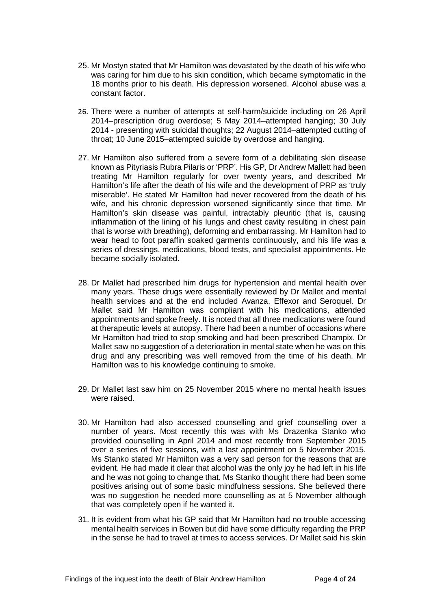- 25. Mr Mostyn stated that Mr Hamilton was devastated by the death of his wife who was caring for him due to his skin condition, which became symptomatic in the 18 months prior to his death. His depression worsened. Alcohol abuse was a constant factor.
- 26. There were a number of attempts at self-harm/suicide including on 26 April 2014–prescription drug overdose; 5 May 2014–attempted hanging; 30 July 2014 - presenting with suicidal thoughts; 22 August 2014–attempted cutting of throat; 10 June 2015–attempted suicide by overdose and hanging.
- 27. Mr Hamilton also suffered from a severe form of a debilitating skin disease known as Pityriasis Rubra Pilaris or 'PRP'. His GP, Dr Andrew Mallett had been treating Mr Hamilton regularly for over twenty years, and described Mr Hamilton's life after the death of his wife and the development of PRP as 'truly miserable'. He stated Mr Hamilton had never recovered from the death of his wife, and his chronic depression worsened significantly since that time. Mr Hamilton's skin disease was painful, intractably pleuritic (that is, causing inflammation of the lining of his lungs and chest cavity resulting in chest pain that is worse with breathing), deforming and embarrassing. Mr Hamilton had to wear head to foot paraffin soaked garments continuously, and his life was a series of dressings, medications, blood tests, and specialist appointments. He became socially isolated.
- 28. Dr Mallet had prescribed him drugs for hypertension and mental health over many years. These drugs were essentially reviewed by Dr Mallet and mental health services and at the end included Avanza, Effexor and Seroquel. Dr Mallet said Mr Hamilton was compliant with his medications, attended appointments and spoke freely. It is noted that all three medications were found at therapeutic levels at autopsy. There had been a number of occasions where Mr Hamilton had tried to stop smoking and had been prescribed Champix. Dr Mallet saw no suggestion of a deterioration in mental state when he was on this drug and any prescribing was well removed from the time of his death. Mr Hamilton was to his knowledge continuing to smoke.
- 29. Dr Mallet last saw him on 25 November 2015 where no mental health issues were raised.
- 30. Mr Hamilton had also accessed counselling and grief counselling over a number of years. Most recently this was with Ms Drazenka Stanko who provided counselling in April 2014 and most recently from September 2015 over a series of five sessions, with a last appointment on 5 November 2015. Ms Stanko stated Mr Hamilton was a very sad person for the reasons that are evident. He had made it clear that alcohol was the only joy he had left in his life and he was not going to change that. Ms Stanko thought there had been some positives arising out of some basic mindfulness sessions. She believed there was no suggestion he needed more counselling as at 5 November although that was completely open if he wanted it.
- 31. It is evident from what his GP said that Mr Hamilton had no trouble accessing mental health services in Bowen but did have some difficulty regarding the PRP in the sense he had to travel at times to access services. Dr Mallet said his skin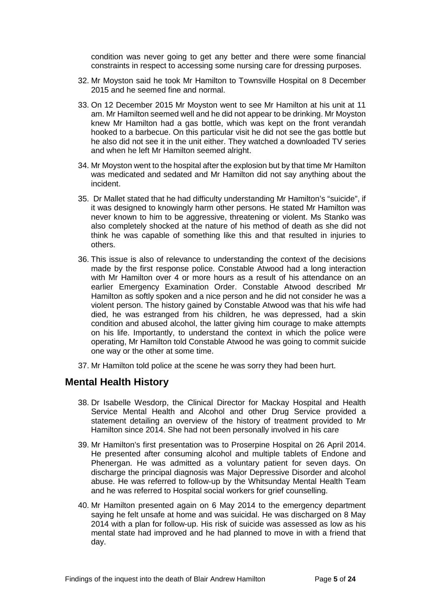condition was never going to get any better and there were some financial constraints in respect to accessing some nursing care for dressing purposes.

- 32. Mr Moyston said he took Mr Hamilton to Townsville Hospital on 8 December 2015 and he seemed fine and normal.
- 33. On 12 December 2015 Mr Moyston went to see Mr Hamilton at his unit at 11 am. Mr Hamilton seemed well and he did not appear to be drinking. Mr Moyston knew Mr Hamilton had a gas bottle, which was kept on the front verandah hooked to a barbecue. On this particular visit he did not see the gas bottle but he also did not see it in the unit either. They watched a downloaded TV series and when he left Mr Hamilton seemed alright.
- 34. Mr Moyston went to the hospital after the explosion but by that time Mr Hamilton was medicated and sedated and Mr Hamilton did not say anything about the incident.
- 35. Dr Mallet stated that he had difficulty understanding Mr Hamilton's "suicide", if it was designed to knowingly harm other persons. He stated Mr Hamilton was never known to him to be aggressive, threatening or violent. Ms Stanko was also completely shocked at the nature of his method of death as she did not think he was capable of something like this and that resulted in injuries to others.
- 36. This issue is also of relevance to understanding the context of the decisions made by the first response police. Constable Atwood had a long interaction with Mr Hamilton over 4 or more hours as a result of his attendance on an earlier Emergency Examination Order. Constable Atwood described Mr Hamilton as softly spoken and a nice person and he did not consider he was a violent person. The history gained by Constable Atwood was that his wife had died, he was estranged from his children, he was depressed, had a skin condition and abused alcohol, the latter giving him courage to make attempts on his life. Importantly, to understand the context in which the police were operating, Mr Hamilton told Constable Atwood he was going to commit suicide one way or the other at some time.
- 37. Mr Hamilton told police at the scene he was sorry they had been hurt.

#### <span id="page-6-0"></span>**Mental Health History**

- 38. Dr Isabelle Wesdorp, the Clinical Director for Mackay Hospital and Health Service Mental Health and Alcohol and other Drug Service provided a statement detailing an overview of the history of treatment provided to Mr Hamilton since 2014. She had not been personally involved in his care
- 39. Mr Hamilton's first presentation was to Proserpine Hospital on 26 April 2014. He presented after consuming alcohol and multiple tablets of Endone and Phenergan. He was admitted as a voluntary patient for seven days. On discharge the principal diagnosis was Major Depressive Disorder and alcohol abuse. He was referred to follow-up by the Whitsunday Mental Health Team and he was referred to Hospital social workers for grief counselling.
- 40. Mr Hamilton presented again on 6 May 2014 to the emergency department saying he felt unsafe at home and was suicidal. He was discharged on 8 May 2014 with a plan for follow-up. His risk of suicide was assessed as low as his mental state had improved and he had planned to move in with a friend that day.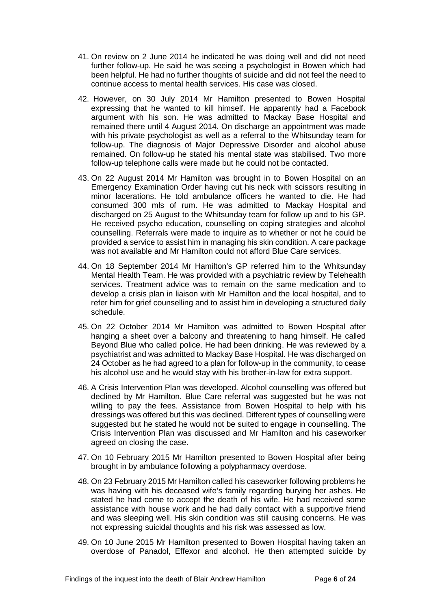- 41. On review on 2 June 2014 he indicated he was doing well and did not need further follow-up. He said he was seeing a psychologist in Bowen which had been helpful. He had no further thoughts of suicide and did not feel the need to continue access to mental health services. His case was closed.
- 42. However, on 30 July 2014 Mr Hamilton presented to Bowen Hospital expressing that he wanted to kill himself. He apparently had a Facebook argument with his son. He was admitted to Mackay Base Hospital and remained there until 4 August 2014. On discharge an appointment was made with his private psychologist as well as a referral to the Whitsunday team for follow-up. The diagnosis of Major Depressive Disorder and alcohol abuse remained. On follow-up he stated his mental state was stabilised. Two more follow-up telephone calls were made but he could not be contacted.
- 43. On 22 August 2014 Mr Hamilton was brought in to Bowen Hospital on an Emergency Examination Order having cut his neck with scissors resulting in minor lacerations. He told ambulance officers he wanted to die. He had consumed 300 mls of rum. He was admitted to Mackay Hospital and discharged on 25 August to the Whitsunday team for follow up and to his GP. He received psycho education, counselling on coping strategies and alcohol counselling. Referrals were made to inquire as to whether or not he could be provided a service to assist him in managing his skin condition. A care package was not available and Mr Hamilton could not afford Blue Care services.
- 44. On 18 September 2014 Mr Hamilton's GP referred him to the Whitsunday Mental Health Team. He was provided with a psychiatric review by Telehealth services. Treatment advice was to remain on the same medication and to develop a crisis plan in liaison with Mr Hamilton and the local hospital, and to refer him for grief counselling and to assist him in developing a structured daily schedule.
- 45. On 22 October 2014 Mr Hamilton was admitted to Bowen Hospital after hanging a sheet over a balcony and threatening to hang himself. He called Beyond Blue who called police. He had been drinking. He was reviewed by a psychiatrist and was admitted to Mackay Base Hospital. He was discharged on 24 October as he had agreed to a plan for follow-up in the community, to cease his alcohol use and he would stay with his brother-in-law for extra support.
- 46. A Crisis Intervention Plan was developed. Alcohol counselling was offered but declined by Mr Hamilton. Blue Care referral was suggested but he was not willing to pay the fees. Assistance from Bowen Hospital to help with his dressings was offered but this was declined. Different types of counselling were suggested but he stated he would not be suited to engage in counselling. The Crisis Intervention Plan was discussed and Mr Hamilton and his caseworker agreed on closing the case.
- 47. On 10 February 2015 Mr Hamilton presented to Bowen Hospital after being brought in by ambulance following a polypharmacy overdose.
- 48. On 23 February 2015 Mr Hamilton called his caseworker following problems he was having with his deceased wife's family regarding burying her ashes. He stated he had come to accept the death of his wife. He had received some assistance with house work and he had daily contact with a supportive friend and was sleeping well. His skin condition was still causing concerns. He was not expressing suicidal thoughts and his risk was assessed as low.
- 49. On 10 June 2015 Mr Hamilton presented to Bowen Hospital having taken an overdose of Panadol, Effexor and alcohol. He then attempted suicide by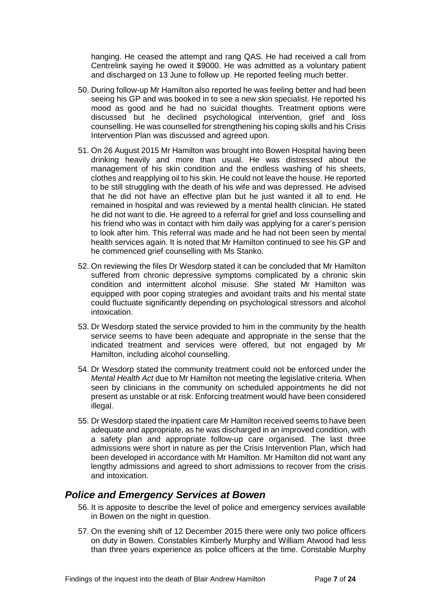hanging. He ceased the attempt and rang QAS. He had received a call from Centrelink saying he owed it \$9000. He was admitted as a voluntary patient and discharged on 13 June to follow up. He reported feeling much better.

- 50. During follow-up Mr Hamilton also reported he was feeling better and had been seeing his GP and was booked in to see a new skin specialist. He reported his mood as good and he had no suicidal thoughts. Treatment options were discussed but he declined psychological intervention, grief and loss counselling. He was counselled for strengthening his coping skills and his Crisis Intervention Plan was discussed and agreed upon.
- 51. On 26 August 2015 Mr Hamilton was brought into Bowen Hospital having been drinking heavily and more than usual. He was distressed about the management of his skin condition and the endless washing of his sheets, clothes and reapplying oil to his skin. He could not leave the house. He reported to be still struggling with the death of his wife and was depressed. He advised that he did not have an effective plan but he just wanted it all to end. He remained in hospital and was reviewed by a mental health clinician. He stated he did not want to die. He agreed to a referral for grief and loss counselling and his friend who was in contact with him daily was applying for a carer's pension to look after him. This referral was made and he had not been seen by mental health services again. It is noted that Mr Hamilton continued to see his GP and he commenced grief counselling with Ms Stanko.
- 52. On reviewing the files Dr Wesdorp stated it can be concluded that Mr Hamilton suffered from chronic depressive symptoms complicated by a chronic skin condition and intermittent alcohol misuse. She stated Mr Hamilton was equipped with poor coping strategies and avoidant traits and his mental state could fluctuate significantly depending on psychological stressors and alcohol intoxication.
- 53. Dr Wesdorp stated the service provided to him in the community by the health service seems to have been adequate and appropriate in the sense that the indicated treatment and services were offered, but not engaged by Mr Hamilton, including alcohol counselling.
- 54. Dr Wesdorp stated the community treatment could not be enforced under the *Mental Health Act* due to Mr Hamilton not meeting the legislative criteria. When seen by clinicians in the community on scheduled appointments he did not present as unstable or at risk. Enforcing treatment would have been considered illegal.
- 55. Dr Wesdorp stated the inpatient care Mr Hamilton received seems to have been adequate and appropriate, as he was discharged in an improved condition, with a safety plan and appropriate follow-up care organised. The last three admissions were short in nature as per the Crisis Intervention Plan, which had been developed in accordance with Mr Hamilton. Mr Hamilton did not want any lengthy admissions and agreed to short admissions to recover from the crisis and intoxication.

#### <span id="page-8-0"></span>*Police and Emergency Services at Bowen*

- 56. It is apposite to describe the level of police and emergency services available in Bowen on the night in question.
- 57. On the evening shift of 12 December 2015 there were only two police officers on duty in Bowen. Constables Kimberly Murphy and William Atwood had less than three years experience as police officers at the time. Constable Murphy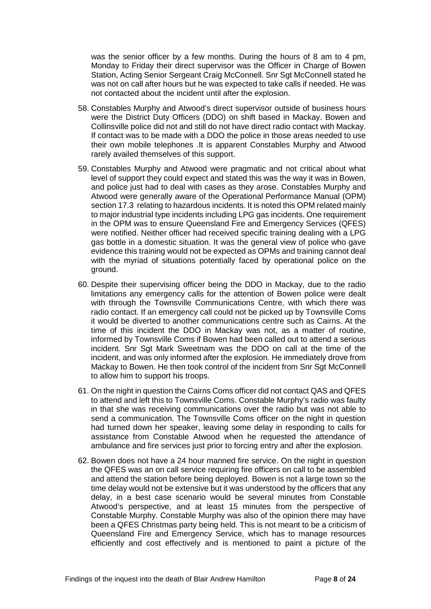was the senior officer by a few months. During the hours of 8 am to 4 pm, Monday to Friday their direct supervisor was the Officer in Charge of Bowen Station, Acting Senior Sergeant Craig McConnell. Snr Sgt McConnell stated he was not on call after hours but he was expected to take calls if needed. He was not contacted about the incident until after the explosion.

- 58. Constables Murphy and Atwood's direct supervisor outside of business hours were the District Duty Officers (DDO) on shift based in Mackay. Bowen and Collinsville police did not and still do not have direct radio contact with Mackay. If contact was to be made with a DDO the police in those areas needed to use their own mobile telephones .It is apparent Constables Murphy and Atwood rarely availed themselves of this support.
- 59. Constables Murphy and Atwood were pragmatic and not critical about what level of support they could expect and stated this was the way it was in Bowen, and police just had to deal with cases as they arose. Constables Murphy and Atwood were generally aware of the Operational Performance Manual (OPM) section 17.3 relating to hazardous incidents. It is noted this OPM related mainly to major industrial type incidents including LPG gas incidents. One requirement in the OPM was to ensure Queensland Fire and Emergency Services (QFES) were notified. Neither officer had received specific training dealing with a LPG gas bottle in a domestic situation. It was the general view of police who gave evidence this training would not be expected as OPMs and training cannot deal with the myriad of situations potentially faced by operational police on the ground.
- 60. Despite their supervising officer being the DDO in Mackay, due to the radio limitations any emergency calls for the attention of Bowen police were dealt with through the Townsville Communications Centre, with which there was radio contact. If an emergency call could not be picked up by Townsville Coms it would be diverted to another communications centre such as Cairns. At the time of this incident the DDO in Mackay was not, as a matter of routine, informed by Townsville Coms if Bowen had been called out to attend a serious incident. Snr Sgt Mark Sweetnam was the DDO on call at the time of the incident, and was only informed after the explosion. He immediately drove from Mackay to Bowen. He then took control of the incident from Snr Sgt McConnell to allow him to support his troops.
- 61. On the night in question the Cairns Coms officer did not contact QAS and QFES to attend and left this to Townsville Coms. Constable Murphy's radio was faulty in that she was receiving communications over the radio but was not able to send a communication. The Townsville Coms officer on the night in question had turned down her speaker, leaving some delay in responding to calls for assistance from Constable Atwood when he requested the attendance of ambulance and fire services just prior to forcing entry and after the explosion.
- 62. Bowen does not have a 24 hour manned fire service. On the night in question the QFES was an on call service requiring fire officers on call to be assembled and attend the station before being deployed. Bowen is not a large town so the time delay would not be extensive but it was understood by the officers that any delay, in a best case scenario would be several minutes from Constable Atwood's perspective, and at least 15 minutes from the perspective of Constable Murphy. Constable Murphy was also of the opinion there may have been a QFES Christmas party being held. This is not meant to be a criticism of Queensland Fire and Emergency Service, which has to manage resources efficiently and cost effectively and is mentioned to paint a picture of the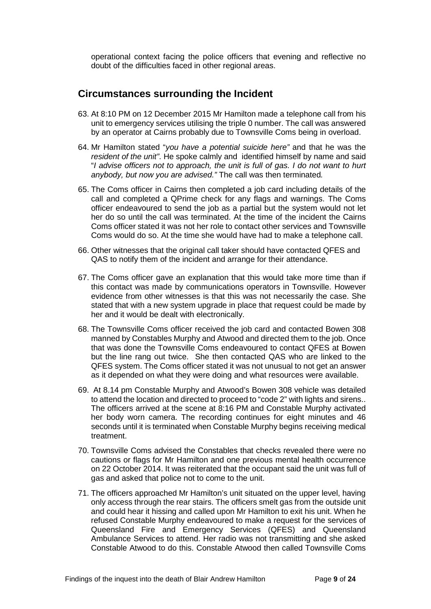operational context facing the police officers that evening and reflective no doubt of the difficulties faced in other regional areas.

#### <span id="page-10-0"></span>**Circumstances surrounding the Incident**

- 63. At 8:10 PM on 12 December 2015 Mr Hamilton made a telephone call from his unit to emergency services utilising the triple 0 number. The call was answered by an operator at Cairns probably due to Townsville Coms being in overload.
- 64. Mr Hamilton stated "*you have a potential suicide here"* and that he was the *resident of the unit"*. He spoke calmly and identified himself by name and said "*I advise officers not to approach, the unit is full of gas. I do not want to hurt anybody, but now you are advised."* The call was then terminated*.*
- 65. The Coms officer in Cairns then completed a job card including details of the call and completed a QPrime check for any flags and warnings. The Coms officer endeavoured to send the job as a partial but the system would not let her do so until the call was terminated. At the time of the incident the Cairns Coms officer stated it was not her role to contact other services and Townsville Coms would do so. At the time she would have had to make a telephone call.
- 66. Other witnesses that the original call taker should have contacted QFES and QAS to notify them of the incident and arrange for their attendance.
- 67. The Coms officer gave an explanation that this would take more time than if this contact was made by communications operators in Townsville. However evidence from other witnesses is that this was not necessarily the case. She stated that with a new system upgrade in place that request could be made by her and it would be dealt with electronically.
- 68. The Townsville Coms officer received the job card and contacted Bowen 308 manned by Constables Murphy and Atwood and directed them to the job. Once that was done the Townsville Coms endeavoured to contact QFES at Bowen but the line rang out twice. She then contacted QAS who are linked to the QFES system. The Coms officer stated it was not unusual to not get an answer as it depended on what they were doing and what resources were available.
- 69. At 8.14 pm Constable Murphy and Atwood's Bowen 308 vehicle was detailed to attend the location and directed to proceed to "code 2" with lights and sirens.. The officers arrived at the scene at 8:16 PM and Constable Murphy activated her body worn camera. The recording continues for eight minutes and 46 seconds until it is terminated when Constable Murphy begins receiving medical treatment.
- 70. Townsville Coms advised the Constables that checks revealed there were no cautions or flags for Mr Hamilton and one previous mental health occurrence on 22 October 2014. It was reiterated that the occupant said the unit was full of gas and asked that police not to come to the unit.
- 71. The officers approached Mr Hamilton's unit situated on the upper level, having only access through the rear stairs. The officers smelt gas from the outside unit and could hear it hissing and called upon Mr Hamilton to exit his unit. When he refused Constable Murphy endeavoured to make a request for the services of Queensland Fire and Emergency Services (QFES) and Queensland Ambulance Services to attend. Her radio was not transmitting and she asked Constable Atwood to do this. Constable Atwood then called Townsville Coms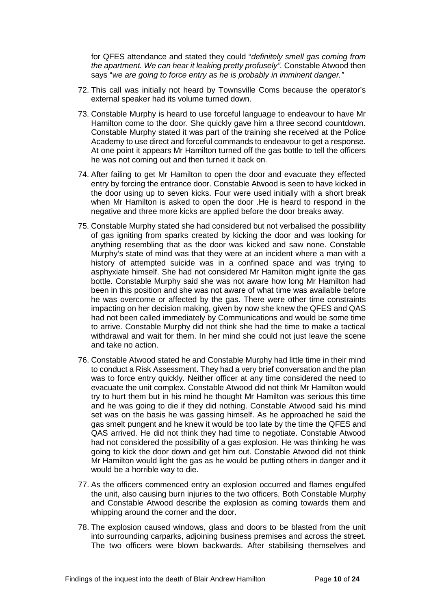for QFES attendance and stated they could "*definitely smell gas coming from the apartment. We can hear it leaking pretty profusely".* Constable Atwood then says "*we are going to force entry as he is probably in imminent danger."*

- 72. This call was initially not heard by Townsville Coms because the operator's external speaker had its volume turned down.
- 73. Constable Murphy is heard to use forceful language to endeavour to have Mr Hamilton come to the door. She quickly gave him a three second countdown. Constable Murphy stated it was part of the training she received at the Police Academy to use direct and forceful commands to endeavour to get a response. At one point it appears Mr Hamilton turned off the gas bottle to tell the officers he was not coming out and then turned it back on.
- 74. After failing to get Mr Hamilton to open the door and evacuate they effected entry by forcing the entrance door. Constable Atwood is seen to have kicked in the door using up to seven kicks. Four were used initially with a short break when Mr Hamilton is asked to open the door .He is heard to respond in the negative and three more kicks are applied before the door breaks away.
- 75. Constable Murphy stated she had considered but not verbalised the possibility of gas igniting from sparks created by kicking the door and was looking for anything resembling that as the door was kicked and saw none. Constable Murphy's state of mind was that they were at an incident where a man with a history of attempted suicide was in a confined space and was trying to asphyxiate himself. She had not considered Mr Hamilton might ignite the gas bottle. Constable Murphy said she was not aware how long Mr Hamilton had been in this position and she was not aware of what time was available before he was overcome or affected by the gas. There were other time constraints impacting on her decision making, given by now she knew the QFES and QAS had not been called immediately by Communications and would be some time to arrive. Constable Murphy did not think she had the time to make a tactical withdrawal and wait for them. In her mind she could not just leave the scene and take no action.
- 76. Constable Atwood stated he and Constable Murphy had little time in their mind to conduct a Risk Assessment. They had a very brief conversation and the plan was to force entry quickly. Neither officer at any time considered the need to evacuate the unit complex. Constable Atwood did not think Mr Hamilton would try to hurt them but in his mind he thought Mr Hamilton was serious this time and he was going to die if they did nothing. Constable Atwood said his mind set was on the basis he was gassing himself. As he approached he said the gas smelt pungent and he knew it would be too late by the time the QFES and QAS arrived. He did not think they had time to negotiate. Constable Atwood had not considered the possibility of a gas explosion. He was thinking he was going to kick the door down and get him out. Constable Atwood did not think Mr Hamilton would light the gas as he would be putting others in danger and it would be a horrible way to die.
- 77. As the officers commenced entry an explosion occurred and flames engulfed the unit, also causing burn injuries to the two officers. Both Constable Murphy and Constable Atwood describe the explosion as coming towards them and whipping around the corner and the door.
- 78. The explosion caused windows, glass and doors to be blasted from the unit into surrounding carparks, adjoining business premises and across the street. The two officers were blown backwards. After stabilising themselves and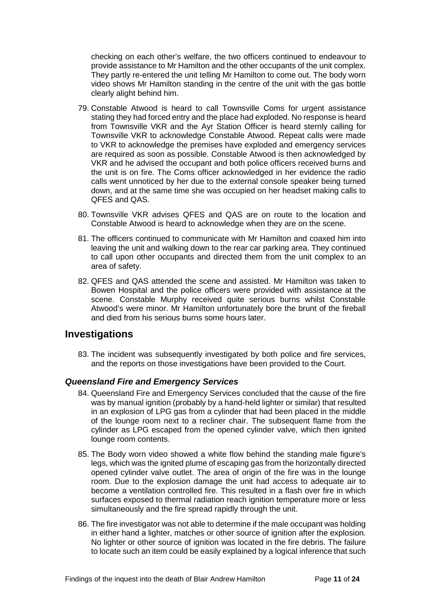checking on each other's welfare, the two officers continued to endeavour to provide assistance to Mr Hamilton and the other occupants of the unit complex. They partly re-entered the unit telling Mr Hamilton to come out. The body worn video shows Mr Hamilton standing in the centre of the unit with the gas bottle clearly alight behind him.

- 79. Constable Atwood is heard to call Townsville Coms for urgent assistance stating they had forced entry and the place had exploded. No response is heard from Townsville VKR and the Ayr Station Officer is heard sternly calling for Townsville VKR to acknowledge Constable Atwood. Repeat calls were made to VKR to acknowledge the premises have exploded and emergency services are required as soon as possible. Constable Atwood is then acknowledged by VKR and he advised the occupant and both police officers received burns and the unit is on fire. The Coms officer acknowledged in her evidence the radio calls went unnoticed by her due to the external console speaker being turned down, and at the same time she was occupied on her headset making calls to QFES and QAS.
- 80. Townsville VKR advises QFES and QAS are on route to the location and Constable Atwood is heard to acknowledge when they are on the scene.
- 81. The officers continued to communicate with Mr Hamilton and coaxed him into leaving the unit and walking down to the rear car parking area. They continued to call upon other occupants and directed them from the unit complex to an area of safety.
- 82. QFES and QAS attended the scene and assisted. Mr Hamilton was taken to Bowen Hospital and the police officers were provided with assistance at the scene. Constable Murphy received quite serious burns whilst Constable Atwood's were minor. Mr Hamilton unfortunately bore the brunt of the fireball and died from his serious burns some hours later.

#### <span id="page-12-0"></span>**Investigations**

83. The incident was subsequently investigated by both police and fire services, and the reports on those investigations have been provided to the Court.

#### <span id="page-12-1"></span>*Queensland Fire and Emergency Services*

- 84. Queensland Fire and Emergency Services concluded that the cause of the fire was by manual ignition (probably by a hand-held lighter or similar) that resulted in an explosion of LPG gas from a cylinder that had been placed in the middle of the lounge room next to a recliner chair. The subsequent flame from the cylinder as LPG escaped from the opened cylinder valve, which then ignited lounge room contents.
- 85. The Body worn video showed a white flow behind the standing male figure's legs, which was the ignited plume of escaping gas from the horizontally directed opened cylinder valve outlet. The area of origin of the fire was in the lounge room. Due to the explosion damage the unit had access to adequate air to become a ventilation controlled fire. This resulted in a flash over fire in which surfaces exposed to thermal radiation reach ignition temperature more or less simultaneously and the fire spread rapidly through the unit.
- 86. The fire investigator was not able to determine if the male occupant was holding in either hand a lighter, matches or other source of ignition after the explosion. No lighter or other source of ignition was located in the fire debris. The failure to locate such an item could be easily explained by a logical inference that such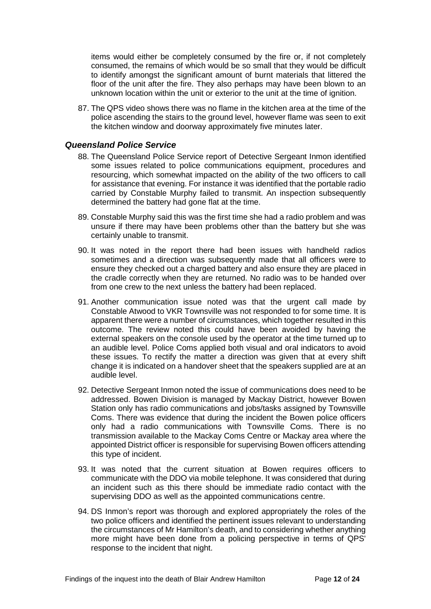items would either be completely consumed by the fire or, if not completely consumed, the remains of which would be so small that they would be difficult to identify amongst the significant amount of burnt materials that littered the floor of the unit after the fire. They also perhaps may have been blown to an unknown location within the unit or exterior to the unit at the time of ignition.

87. The QPS video shows there was no flame in the kitchen area at the time of the police ascending the stairs to the ground level, however flame was seen to exit the kitchen window and doorway approximately five minutes later.

#### <span id="page-13-0"></span>*Queensland Police Service*

- 88. The Queensland Police Service report of Detective Sergeant Inmon identified some issues related to police communications equipment, procedures and resourcing, which somewhat impacted on the ability of the two officers to call for assistance that evening. For instance it was identified that the portable radio carried by Constable Murphy failed to transmit. An inspection subsequently determined the battery had gone flat at the time.
- 89. Constable Murphy said this was the first time she had a radio problem and was unsure if there may have been problems other than the battery but she was certainly unable to transmit.
- 90. It was noted in the report there had been issues with handheld radios sometimes and a direction was subsequently made that all officers were to ensure they checked out a charged battery and also ensure they are placed in the cradle correctly when they are returned. No radio was to be handed over from one crew to the next unless the battery had been replaced.
- 91. Another communication issue noted was that the urgent call made by Constable Atwood to VKR Townsville was not responded to for some time. It is apparent there were a number of circumstances, which together resulted in this outcome. The review noted this could have been avoided by having the external speakers on the console used by the operator at the time turned up to an audible level. Police Coms applied both visual and oral indicators to avoid these issues. To rectify the matter a direction was given that at every shift change it is indicated on a handover sheet that the speakers supplied are at an audible level.
- 92. Detective Sergeant Inmon noted the issue of communications does need to be addressed. Bowen Division is managed by Mackay District, however Bowen Station only has radio communications and jobs/tasks assigned by Townsville Coms. There was evidence that during the incident the Bowen police officers only had a radio communications with Townsville Coms. There is no transmission available to the Mackay Coms Centre or Mackay area where the appointed District officer is responsible for supervising Bowen officers attending this type of incident.
- 93. It was noted that the current situation at Bowen requires officers to communicate with the DDO via mobile telephone. It was considered that during an incident such as this there should be immediate radio contact with the supervising DDO as well as the appointed communications centre.
- 94. DS Inmon's report was thorough and explored appropriately the roles of the two police officers and identified the pertinent issues relevant to understanding the circumstances of Mr Hamilton's death, and to considering whether anything more might have been done from a policing perspective in terms of QPS' response to the incident that night.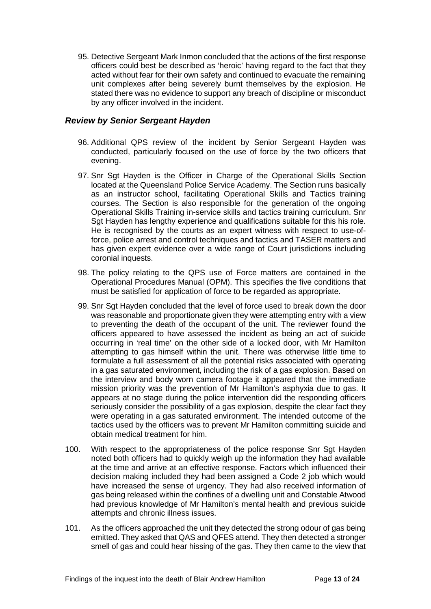95. Detective Sergeant Mark Inmon concluded that the actions of the first response officers could best be described as 'heroic' having regard to the fact that they acted without fear for their own safety and continued to evacuate the remaining unit complexes after being severely burnt themselves by the explosion. He stated there was no evidence to support any breach of discipline or misconduct by any officer involved in the incident.

#### <span id="page-14-0"></span>*Review by Senior Sergeant Hayden*

- 96. Additional QPS review of the incident by Senior Sergeant Hayden was conducted, particularly focused on the use of force by the two officers that evening.
- 97. Snr Sgt Hayden is the Officer in Charge of the Operational Skills Section located at the Queensland Police Service Academy. The Section runs basically as an instructor school, facilitating Operational Skills and Tactics training courses. The Section is also responsible for the generation of the ongoing Operational Skills Training in-service skills and tactics training curriculum. Snr Sgt Hayden has lengthy experience and qualifications suitable for this his role. He is recognised by the courts as an expert witness with respect to use-offorce, police arrest and control techniques and tactics and TASER matters and has given expert evidence over a wide range of Court jurisdictions including coronial inquests.
- 98. The policy relating to the QPS use of Force matters are contained in the Operational Procedures Manual (OPM). This specifies the five conditions that must be satisfied for application of force to be regarded as appropriate.
- 99. Snr Sgt Hayden concluded that the level of force used to break down the door was reasonable and proportionate given they were attempting entry with a view to preventing the death of the occupant of the unit. The reviewer found the officers appeared to have assessed the incident as being an act of suicide occurring in 'real time' on the other side of a locked door, with Mr Hamilton attempting to gas himself within the unit. There was otherwise little time to formulate a full assessment of all the potential risks associated with operating in a gas saturated environment, including the risk of a gas explosion. Based on the interview and body worn camera footage it appeared that the immediate mission priority was the prevention of Mr Hamilton's asphyxia due to gas. It appears at no stage during the police intervention did the responding officers seriously consider the possibility of a gas explosion, despite the clear fact they were operating in a gas saturated environment. The intended outcome of the tactics used by the officers was to prevent Mr Hamilton committing suicide and obtain medical treatment for him.
- 100. With respect to the appropriateness of the police response Snr Sgt Hayden noted both officers had to quickly weigh up the information they had available at the time and arrive at an effective response. Factors which influenced their decision making included they had been assigned a Code 2 job which would have increased the sense of urgency. They had also received information of gas being released within the confines of a dwelling unit and Constable Atwood had previous knowledge of Mr Hamilton's mental health and previous suicide attempts and chronic illness issues.
- 101. As the officers approached the unit they detected the strong odour of gas being emitted. They asked that QAS and QFES attend. They then detected a stronger smell of gas and could hear hissing of the gas. They then came to the view that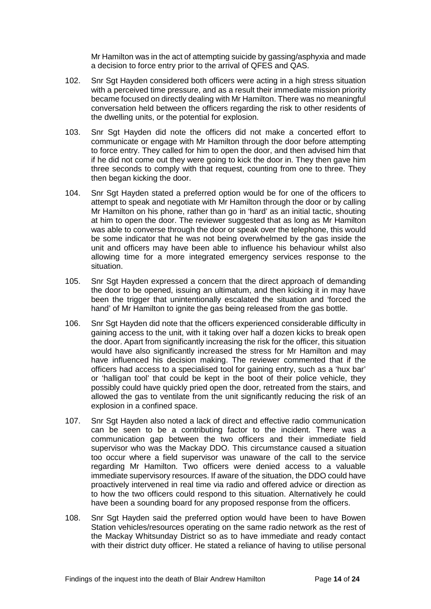Mr Hamilton was in the act of attempting suicide by gassing/asphyxia and made a decision to force entry prior to the arrival of QFES and QAS.

- 102. Snr Sgt Hayden considered both officers were acting in a high stress situation with a perceived time pressure, and as a result their immediate mission priority became focused on directly dealing with Mr Hamilton. There was no meaningful conversation held between the officers regarding the risk to other residents of the dwelling units, or the potential for explosion.
- 103. Snr Sgt Hayden did note the officers did not make a concerted effort to communicate or engage with Mr Hamilton through the door before attempting to force entry. They called for him to open the door, and then advised him that if he did not come out they were going to kick the door in. They then gave him three seconds to comply with that request, counting from one to three. They then began kicking the door.
- 104. Snr Sgt Hayden stated a preferred option would be for one of the officers to attempt to speak and negotiate with Mr Hamilton through the door or by calling Mr Hamilton on his phone, rather than go in 'hard' as an initial tactic, shouting at him to open the door. The reviewer suggested that as long as Mr Hamilton was able to converse through the door or speak over the telephone, this would be some indicator that he was not being overwhelmed by the gas inside the unit and officers may have been able to influence his behaviour whilst also allowing time for a more integrated emergency services response to the situation.
- 105. Snr Sgt Hayden expressed a concern that the direct approach of demanding the door to be opened, issuing an ultimatum, and then kicking it in may have been the trigger that unintentionally escalated the situation and 'forced the hand' of Mr Hamilton to ignite the gas being released from the gas bottle.
- 106. Snr Sgt Hayden did note that the officers experienced considerable difficulty in gaining access to the unit, with it taking over half a dozen kicks to break open the door. Apart from significantly increasing the risk for the officer, this situation would have also significantly increased the stress for Mr Hamilton and may have influenced his decision making. The reviewer commented that if the officers had access to a specialised tool for gaining entry, such as a 'hux bar' or 'halligan tool' that could be kept in the boot of their police vehicle, they possibly could have quickly pried open the door, retreated from the stairs, and allowed the gas to ventilate from the unit significantly reducing the risk of an explosion in a confined space.
- 107. Snr Sgt Hayden also noted a lack of direct and effective radio communication can be seen to be a contributing factor to the incident. There was a communication gap between the two officers and their immediate field supervisor who was the Mackay DDO. This circumstance caused a situation too occur where a field supervisor was unaware of the call to the service regarding Mr Hamilton. Two officers were denied access to a valuable immediate supervisory resources. If aware of the situation, the DDO could have proactively intervened in real time via radio and offered advice or direction as to how the two officers could respond to this situation. Alternatively he could have been a sounding board for any proposed response from the officers.
- 108. Snr Sgt Hayden said the preferred option would have been to have Bowen Station vehicles/resources operating on the same radio network as the rest of the Mackay Whitsunday District so as to have immediate and ready contact with their district duty officer. He stated a reliance of having to utilise personal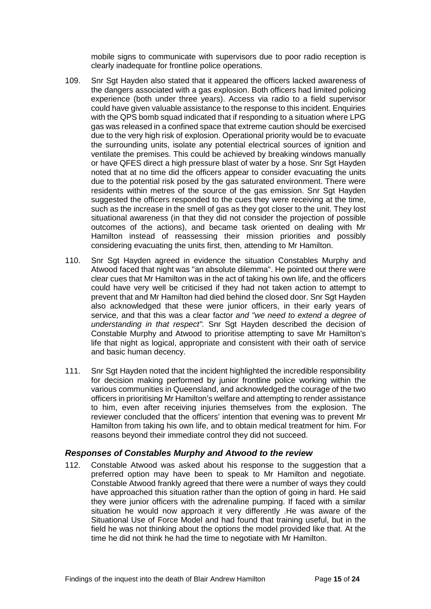mobile signs to communicate with supervisors due to poor radio reception is clearly inadequate for frontline police operations.

- 109. Snr Sgt Hayden also stated that it appeared the officers lacked awareness of the dangers associated with a gas explosion. Both officers had limited policing experience (both under three years). Access via radio to a field supervisor could have given valuable assistance to the response to this incident. Enquiries with the QPS bomb squad indicated that if responding to a situation where LPG gas was released in a confined space that extreme caution should be exercised due to the very high risk of explosion. Operational priority would be to evacuate the surrounding units, isolate any potential electrical sources of ignition and ventilate the premises. This could be achieved by breaking windows manually or have QFES direct a high pressure blast of water by a hose. Snr Sgt Hayden noted that at no time did the officers appear to consider evacuating the units due to the potential risk posed by the gas saturated environment. There were residents within metres of the source of the gas emission. Snr Sgt Hayden suggested the officers responded to the cues they were receiving at the time, such as the increase in the smell of gas as they got closer to the unit. They lost situational awareness (in that they did not consider the projection of possible outcomes of the actions), and became task oriented on dealing with Mr Hamilton instead of reassessing their mission priorities and possibly considering evacuating the units first, then, attending to Mr Hamilton.
- 110. Snr Sgt Hayden agreed in evidence the situation Constables Murphy and Atwood faced that night was "an absolute dilemma". He pointed out there were clear cues that Mr Hamilton was in the act of taking his own life, and the officers could have very well be criticised if they had not taken action to attempt to prevent that and Mr Hamilton had died behind the closed door. Snr Sgt Hayden also acknowledged that these were junior officers, in their early years of service, and that this was a clear factor *and "we need to extend a degree of understanding in that respect".* Snr Sgt Hayden described the decision of Constable Murphy and Atwood to prioritise attempting to save Mr Hamilton's life that night as logical, appropriate and consistent with their oath of service and basic human decency.
- 111. Snr Sgt Hayden noted that the incident highlighted the incredible responsibility for decision making performed by junior frontline police working within the various communities in Queensland, and acknowledged the courage of the two officers in prioritising Mr Hamilton's welfare and attempting to render assistance to him, even after receiving injuries themselves from the explosion. The reviewer concluded that the officers' intention that evening was to prevent Mr Hamilton from taking his own life, and to obtain medical treatment for him. For reasons beyond their immediate control they did not succeed.

#### <span id="page-16-0"></span>*Responses of Constables Murphy and Atwood to the review*

112. Constable Atwood was asked about his response to the suggestion that a preferred option may have been to speak to Mr Hamilton and negotiate. Constable Atwood frankly agreed that there were a number of ways they could have approached this situation rather than the option of going in hard. He said they were junior officers with the adrenaline pumping. If faced with a similar situation he would now approach it very differently .He was aware of the Situational Use of Force Model and had found that training useful, but in the field he was not thinking about the options the model provided like that. At the time he did not think he had the time to negotiate with Mr Hamilton.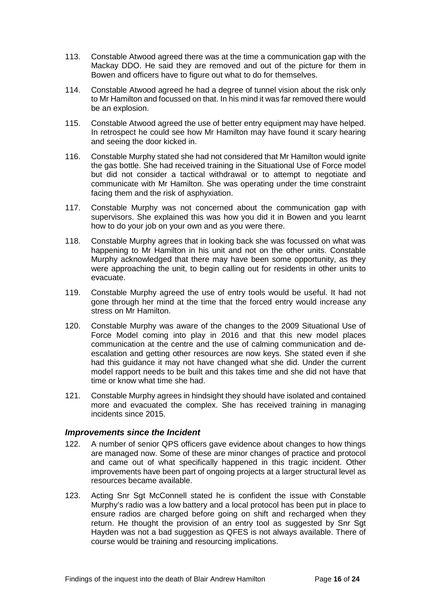- 113. Constable Atwood agreed there was at the time a communication gap with the Mackay DDO. He said they are removed and out of the picture for them in Bowen and officers have to figure out what to do for themselves.
- 114. Constable Atwood agreed he had a degree of tunnel vision about the risk only to Mr Hamilton and focussed on that. In his mind it was far removed there would be an explosion.
- 115. Constable Atwood agreed the use of better entry equipment may have helped. In retrospect he could see how Mr Hamilton may have found it scary hearing and seeing the door kicked in.
- 116. Constable Murphy stated she had not considered that Mr Hamilton would ignite the gas bottle. She had received training in the Situational Use of Force model but did not consider a tactical withdrawal or to attempt to negotiate and communicate with Mr Hamilton. She was operating under the time constraint facing them and the risk of asphyxiation.
- 117. Constable Murphy was not concerned about the communication gap with supervisors. She explained this was how you did it in Bowen and you learnt how to do your job on your own and as you were there.
- 118. Constable Murphy agrees that in looking back she was focussed on what was happening to Mr Hamilton in his unit and not on the other units. Constable Murphy acknowledged that there may have been some opportunity, as they were approaching the unit, to begin calling out for residents in other units to evacuate.
- 119. Constable Murphy agreed the use of entry tools would be useful. It had not gone through her mind at the time that the forced entry would increase any stress on Mr Hamilton.
- 120. Constable Murphy was aware of the changes to the 2009 Situational Use of Force Model coming into play in 2016 and that this new model places communication at the centre and the use of calming communication and deescalation and getting other resources are now keys. She stated even if she had this guidance it may not have changed what she did. Under the current model rapport needs to be built and this takes time and she did not have that time or know what time she had.
- 121. Constable Murphy agrees in hindsight they should have isolated and contained more and evacuated the complex. She has received training in managing incidents since 2015.

#### <span id="page-17-0"></span>*Improvements since the Incident*

- 122. A number of senior QPS officers gave evidence about changes to how things are managed now. Some of these are minor changes of practice and protocol and came out of what specifically happened in this tragic incident. Other improvements have been part of ongoing projects at a larger structural level as resources became available.
- 123. Acting Snr Sgt McConnell stated he is confident the issue with Constable Murphy's radio was a low battery and a local protocol has been put in place to ensure radios are charged before going on shift and recharged when they return. He thought the provision of an entry tool as suggested by Snr Sgt Hayden was not a bad suggestion as QFES is not always available. There of course would be training and resourcing implications.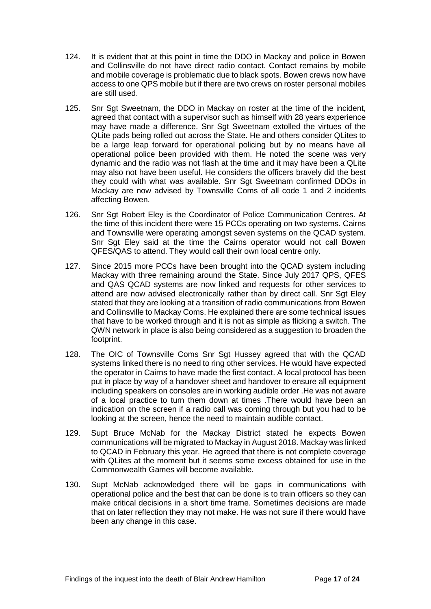- 124. It is evident that at this point in time the DDO in Mackay and police in Bowen and Collinsville do not have direct radio contact. Contact remains by mobile and mobile coverage is problematic due to black spots. Bowen crews now have access to one QPS mobile but if there are two crews on roster personal mobiles are still used.
- 125. Snr Sgt Sweetnam, the DDO in Mackay on roster at the time of the incident, agreed that contact with a supervisor such as himself with 28 years experience may have made a difference. Snr Sgt Sweetnam extolled the virtues of the QLite pads being rolled out across the State. He and others consider QLites to be a large leap forward for operational policing but by no means have all operational police been provided with them. He noted the scene was very dynamic and the radio was not flash at the time and it may have been a QLite may also not have been useful. He considers the officers bravely did the best they could with what was available. Snr Sgt Sweetnam confirmed DDOs in Mackay are now advised by Townsville Coms of all code 1 and 2 incidents affecting Bowen.
- 126. Snr Sgt Robert Eley is the Coordinator of Police Communication Centres. At the time of this incident there were 15 PCCs operating on two systems. Cairns and Townsville were operating amongst seven systems on the QCAD system. Snr Sat Eley said at the time the Cairns operator would not call Bowen QFES/QAS to attend. They would call their own local centre only.
- 127. Since 2015 more PCCs have been brought into the QCAD system including Mackay with three remaining around the State. Since July 2017 QPS, QFES and QAS QCAD systems are now linked and requests for other services to attend are now advised electronically rather than by direct call. Snr Sgt Eley stated that they are looking at a transition of radio communications from Bowen and Collinsville to Mackay Coms. He explained there are some technical issues that have to be worked through and it is not as simple as flicking a switch. The QWN network in place is also being considered as a suggestion to broaden the footprint.
- 128. The OIC of Townsville Coms Snr Sat Hussey agreed that with the QCAD systems linked there is no need to ring other services. He would have expected the operator in Cairns to have made the first contact. A local protocol has been put in place by way of a handover sheet and handover to ensure all equipment including speakers on consoles are in working audible order .He was not aware of a local practice to turn them down at times .There would have been an indication on the screen if a radio call was coming through but you had to be looking at the screen, hence the need to maintain audible contact.
- 129. Supt Bruce McNab for the Mackay District stated he expects Bowen communications will be migrated to Mackay in August 2018. Mackay was linked to QCAD in February this year. He agreed that there is not complete coverage with QLites at the moment but it seems some excess obtained for use in the Commonwealth Games will become available.
- 130. Supt McNab acknowledged there will be gaps in communications with operational police and the best that can be done is to train officers so they can make critical decisions in a short time frame. Sometimes decisions are made that on later reflection they may not make. He was not sure if there would have been any change in this case.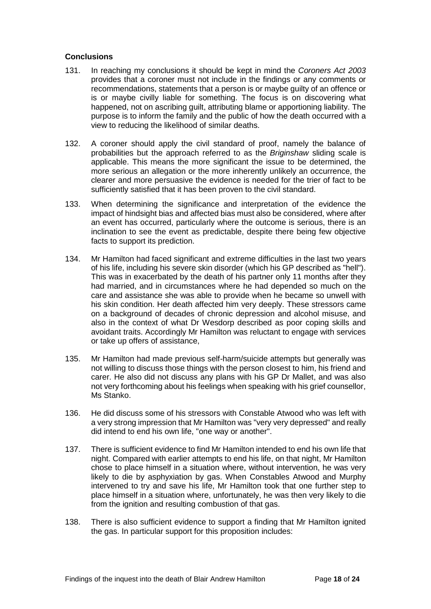#### <span id="page-19-0"></span>**Conclusions**

- 131. In reaching my conclusions it should be kept in mind the *Coroners Act 2003*  provides that a coroner must not include in the findings or any comments or recommendations, statements that a person is or maybe guilty of an offence or is or maybe civilly liable for something. The focus is on discovering what happened, not on ascribing guilt, attributing blame or apportioning liability. The purpose is to inform the family and the public of how the death occurred with a view to reducing the likelihood of similar deaths.
- 132. A coroner should apply the civil standard of proof, namely the balance of probabilities but the approach referred to as the *Briginshaw* sliding scale is applicable. This means the more significant the issue to be determined, the more serious an allegation or the more inherently unlikely an occurrence, the clearer and more persuasive the evidence is needed for the trier of fact to be sufficiently satisfied that it has been proven to the civil standard.
- 133. When determining the significance and interpretation of the evidence the impact of hindsight bias and affected bias must also be considered, where after an event has occurred, particularly where the outcome is serious, there is an inclination to see the event as predictable, despite there being few objective facts to support its prediction.
- 134. Mr Hamilton had faced significant and extreme difficulties in the last two years of his life, including his severe skin disorder (which his GP described as "hell"). This was in exacerbated by the death of his partner only 11 months after they had married, and in circumstances where he had depended so much on the care and assistance she was able to provide when he became so unwell with his skin condition. Her death affected him very deeply. These stressors came on a background of decades of chronic depression and alcohol misuse, and also in the context of what Dr Wesdorp described as poor coping skills and avoidant traits. Accordingly Mr Hamilton was reluctant to engage with services or take up offers of assistance,
- 135. Mr Hamilton had made previous self-harm/suicide attempts but generally was not willing to discuss those things with the person closest to him, his friend and carer. He also did not discuss any plans with his GP Dr Mallet, and was also not very forthcoming about his feelings when speaking with his grief counsellor, Ms Stanko.
- 136. He did discuss some of his stressors with Constable Atwood who was left with a very strong impression that Mr Hamilton was "very very depressed" and really did intend to end his own life, "one way or another".
- 137. There is sufficient evidence to find Mr Hamilton intended to end his own life that night. Compared with earlier attempts to end his life, on that night, Mr Hamilton chose to place himself in a situation where, without intervention, he was very likely to die by asphyxiation by gas. When Constables Atwood and Murphy intervened to try and save his life, Mr Hamilton took that one further step to place himself in a situation where, unfortunately, he was then very likely to die from the ignition and resulting combustion of that gas.
- 138. There is also sufficient evidence to support a finding that Mr Hamilton ignited the gas. In particular support for this proposition includes: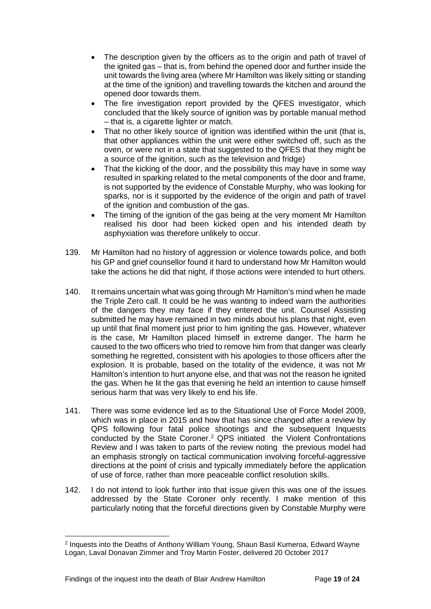- The description given by the officers as to the origin and path of travel of the ignited gas – that is, from behind the opened door and further inside the unit towards the living area (where Mr Hamilton was likely sitting or standing at the time of the ignition) and travelling towards the kitchen and around the opened door towards them.
- The fire investigation report provided by the QFES investigator, which concluded that the likely source of ignition was by portable manual method – that is, a cigarette lighter or match.
- That no other likely source of ignition was identified within the unit (that is, that other appliances within the unit were either switched off, such as the oven, or were not in a state that suggested to the QFES that they might be a source of the ignition, such as the television and fridge)
- That the kicking of the door, and the possibility this may have in some way resulted in sparking related to the metal components of the door and frame, is not supported by the evidence of Constable Murphy, who was looking for sparks, nor is it supported by the evidence of the origin and path of travel of the ignition and combustion of the gas.
- The timing of the ignition of the gas being at the very moment Mr Hamilton realised his door had been kicked open and his intended death by asphyxiation was therefore unlikely to occur.
- 139. Mr Hamilton had no history of aggression or violence towards police, and both his GP and grief counsellor found it hard to understand how Mr Hamilton would take the actions he did that night, if those actions were intended to hurt others.
- 140. It remains uncertain what was going through Mr Hamilton's mind when he made the Triple Zero call. It could be he was wanting to indeed warn the authorities of the dangers they may face if they entered the unit. Counsel Assisting submitted he may have remained in two minds about his plans that night, even up until that final moment just prior to him igniting the gas. However, whatever is the case, Mr Hamilton placed himself in extreme danger. The harm he caused to the two officers who tried to remove him from that danger was clearly something he regretted, consistent with his apologies to those officers after the explosion. It is probable, based on the totality of the evidence, it was not Mr Hamilton's intention to hurt anyone else, and that was not the reason he ignited the gas. When he lit the gas that evening he held an intention to cause himself serious harm that was very likely to end his life.
- 141. There was some evidence led as to the Situational Use of Force Model 2009, which was in place in 2015 and how that has since changed after a review by QPS following four fatal police shootings and the subsequent Inquests conducted by the State Coroner[.2](#page-20-0) QPS initiated the Violent Confrontations Review and I was taken to parts of the review noting the previous model had an emphasis strongly on tactical communication involving forceful-aggressive directions at the point of crisis and typically immediately before the application of use of force, rather than more peaceable conflict resolution skills.
- 142. I do not intend to look further into that issue given this was one of the issues addressed by the State Coroner only recently. I make mention of this particularly noting that the forceful directions given by Constable Murphy were

 $\overline{a}$ 

<span id="page-20-0"></span><sup>2</sup> Inquests into the Deaths of Anthony William Young, Shaun Basil Kumeroa, Edward Wayne Logan, Laval Donavan Zimmer and Troy Martin Foster, delivered 20 October 2017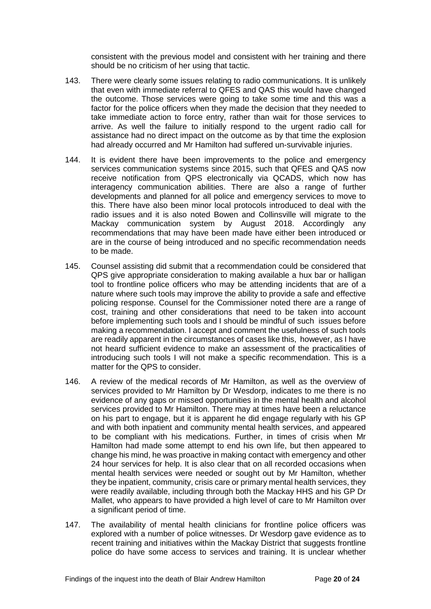consistent with the previous model and consistent with her training and there should be no criticism of her using that tactic.

- 143. There were clearly some issues relating to radio communications. It is unlikely that even with immediate referral to QFES and QAS this would have changed the outcome. Those services were going to take some time and this was a factor for the police officers when they made the decision that they needed to take immediate action to force entry, rather than wait for those services to arrive. As well the failure to initially respond to the urgent radio call for assistance had no direct impact on the outcome as by that time the explosion had already occurred and Mr Hamilton had suffered un-survivable injuries.
- 144. It is evident there have been improvements to the police and emergency services communication systems since 2015, such that QFES and QAS now receive notification from QPS electronically via QCADS, which now has interagency communication abilities. There are also a range of further developments and planned for all police and emergency services to move to this. There have also been minor local protocols introduced to deal with the radio issues and it is also noted Bowen and Collinsville will migrate to the Mackay communication system by August 2018. Accordingly any recommendations that may have been made have either been introduced or are in the course of being introduced and no specific recommendation needs to be made.
- 145. Counsel assisting did submit that a recommendation could be considered that QPS give appropriate consideration to making available a hux bar or halligan tool to frontline police officers who may be attending incidents that are of a nature where such tools may improve the ability to provide a safe and effective policing response. Counsel for the Commissioner noted there are a range of cost, training and other considerations that need to be taken into account before implementing such tools and I should be mindful of such issues before making a recommendation. I accept and comment the usefulness of such tools are readily apparent in the circumstances of cases like this, however, as I have not heard sufficient evidence to make an assessment of the practicalities of introducing such tools I will not make a specific recommendation. This is a matter for the QPS to consider.
- 146. A review of the medical records of Mr Hamilton, as well as the overview of services provided to Mr Hamilton by Dr Wesdorp, indicates to me there is no evidence of any gaps or missed opportunities in the mental health and alcohol services provided to Mr Hamilton. There may at times have been a reluctance on his part to engage, but it is apparent he did engage regularly with his GP and with both inpatient and community mental health services, and appeared to be compliant with his medications. Further, in times of crisis when Mr Hamilton had made some attempt to end his own life, but then appeared to change his mind, he was proactive in making contact with emergency and other 24 hour services for help. It is also clear that on all recorded occasions when mental health services were needed or sought out by Mr Hamilton, whether they be inpatient, community, crisis care or primary mental health services, they were readily available, including through both the Mackay HHS and his GP Dr Mallet, who appears to have provided a high level of care to Mr Hamilton over a significant period of time.
- 147. The availability of mental health clinicians for frontline police officers was explored with a number of police witnesses. Dr Wesdorp gave evidence as to recent training and initiatives within the Mackay District that suggests frontline police do have some access to services and training. It is unclear whether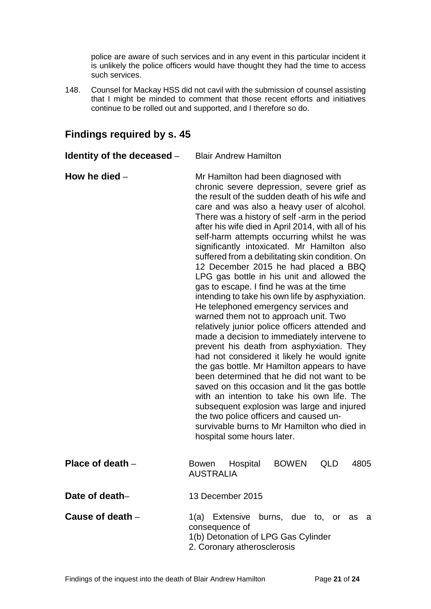police are aware of such services and in any event in this particular incident it is unlikely the police officers would have thought they had the time to access such services.

148. Counsel for Mackay HSS did not cavil with the submission of counsel assisting that I might be minded to comment that those recent efforts and initiatives continue to be rolled out and supported, and I therefore so do.

<span id="page-22-5"></span><span id="page-22-4"></span><span id="page-22-3"></span><span id="page-22-2"></span><span id="page-22-1"></span>

| Identity of the deceased – | <b>Blair Andrew Hamilton</b>                                                                                                                                                                                                                                                                                                                                                                                                                                                                                                                                                                                                                                                                                                                                                                                                                                                                                                                                                                                                                                                                                                                                                                                                                                                    |
|----------------------------|---------------------------------------------------------------------------------------------------------------------------------------------------------------------------------------------------------------------------------------------------------------------------------------------------------------------------------------------------------------------------------------------------------------------------------------------------------------------------------------------------------------------------------------------------------------------------------------------------------------------------------------------------------------------------------------------------------------------------------------------------------------------------------------------------------------------------------------------------------------------------------------------------------------------------------------------------------------------------------------------------------------------------------------------------------------------------------------------------------------------------------------------------------------------------------------------------------------------------------------------------------------------------------|
| How he died $-$            | Mr Hamilton had been diagnosed with<br>chronic severe depression, severe grief as<br>the result of the sudden death of his wife and<br>care and was also a heavy user of alcohol.<br>There was a history of self -arm in the period<br>after his wife died in April 2014, with all of his<br>self-harm attempts occurring whilst he was<br>significantly intoxicated. Mr Hamilton also<br>suffered from a debilitating skin condition. On<br>12 December 2015 he had placed a BBQ<br>LPG gas bottle in his unit and allowed the<br>gas to escape. I find he was at the time<br>intending to take his own life by asphyxiation.<br>He telephoned emergency services and<br>warned them not to approach unit. Two<br>relatively junior police officers attended and<br>made a decision to immediately intervene to<br>prevent his death from asphyxiation. They<br>had not considered it likely he would ignite<br>the gas bottle. Mr Hamilton appears to have<br>been determined that he did not want to be<br>saved on this occasion and lit the gas bottle<br>with an intention to take his own life. The<br>subsequent explosion was large and injured<br>the two police officers and caused un-<br>survivable burns to Mr Hamilton who died in<br>hospital some hours later. |
| Place of death $-$         | Hospital<br><b>BOWEN</b><br>QLD<br>4805<br><b>Bowen</b><br><b>AUSTRALIA</b>                                                                                                                                                                                                                                                                                                                                                                                                                                                                                                                                                                                                                                                                                                                                                                                                                                                                                                                                                                                                                                                                                                                                                                                                     |
| Date of death-             | 13 December 2015                                                                                                                                                                                                                                                                                                                                                                                                                                                                                                                                                                                                                                                                                                                                                                                                                                                                                                                                                                                                                                                                                                                                                                                                                                                                |
| Cause of death -           | 1(a) Extensive burns, due to, or as a<br>consequence of<br>1(b) Detonation of LPG Gas Cylinder<br>2. Coronary atherosclerosis                                                                                                                                                                                                                                                                                                                                                                                                                                                                                                                                                                                                                                                                                                                                                                                                                                                                                                                                                                                                                                                                                                                                                   |

### <span id="page-22-0"></span>**Findings required by s. 45**